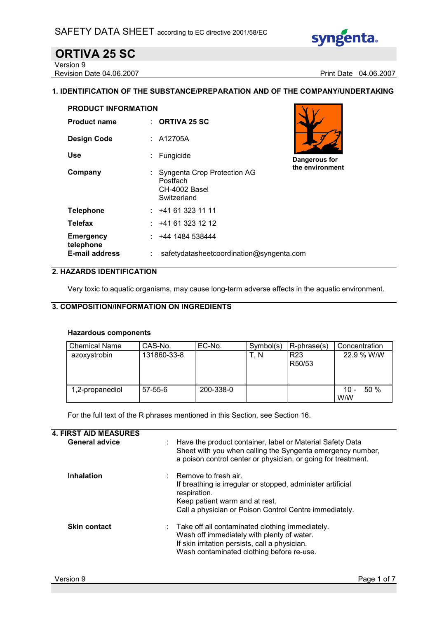

# ORTIVA 25 SC

Version 9 Revision Date 04.06.2007 **Print Date 04.06.2007** 

#### 1. IDENTIFICATION OF THE SUBSTANCE/PREPARATION AND OF THE COMPANY/UNDERTAKING

| <b>PRODUCT INFORMATION</b>    |  |                                                                         |                 |
|-------------------------------|--|-------------------------------------------------------------------------|-----------------|
| <b>Product name</b>           |  | $\therefore$ ORTIVA 25 SC                                               |                 |
| <b>Design Code</b>            |  | $\therefore$ A12705A                                                    |                 |
| Use                           |  | : Fungicide                                                             | Dangerous for   |
| Company                       |  | Syngenta Crop Protection AG<br>Postfach<br>CH-4002 Basel<br>Switzerland | the environment |
| <b>Telephone</b>              |  | : 441613231111                                                          |                 |
| <b>Telefax</b>                |  | : 441613231212                                                          |                 |
| <b>Emergency</b><br>telephone |  | : 4441484538444                                                         |                 |
| <b>E-mail address</b>         |  | safetydatasheetcoordination@syngenta.com                                |                 |

#### 2. HAZARDS IDENTIFICATION

Very toxic to aquatic organisms, may cause long-term adverse effects in the aquatic environment.

#### 3. COMPOSITION/INFORMATION ON INGREDIENTS

#### Hazardous components

| <b>Chemical Name</b> | CAS-No.       | EC-No.    | Symbol(s) | R-phrase(s)               | Concentration               |
|----------------------|---------------|-----------|-----------|---------------------------|-----------------------------|
| azoxystrobin         | 131860-33-8   |           | T, N      | R <sub>23</sub><br>R50/53 | 22.9 % W/W                  |
| 1,2-propanediol      | $57 - 55 - 6$ | 200-338-0 |           |                           | 50%<br>$10 -$<br><b>W/W</b> |

For the full text of the R phrases mentioned in this Section, see Section 16.

| : Have the product container, label or Material Safety Data<br>Sheet with you when calling the Syngenta emergency number,<br>a poison control center or physician, or going for treatment.                   |
|--------------------------------------------------------------------------------------------------------------------------------------------------------------------------------------------------------------|
| $\therefore$ Remove to fresh air.<br>If breathing is irregular or stopped, administer artificial<br>respiration.<br>Keep patient warm and at rest.<br>Call a physician or Poison Control Centre immediately. |
| $\therefore$ Take off all contaminated clothing immediately.<br>Wash off immediately with plenty of water.<br>If skin irritation persists, call a physician.<br>Wash contaminated clothing before re-use.    |
|                                                                                                                                                                                                              |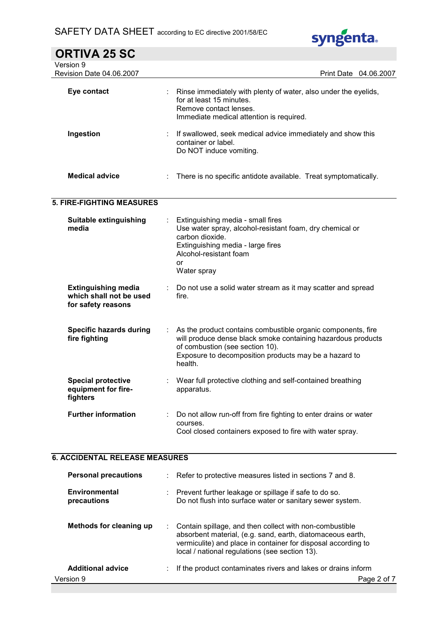

| <b>ORTIVA 25 SC</b>                                                         |   |                                                                                                                                                                                                                                     |
|-----------------------------------------------------------------------------|---|-------------------------------------------------------------------------------------------------------------------------------------------------------------------------------------------------------------------------------------|
| Version 9                                                                   |   |                                                                                                                                                                                                                                     |
| Revision Date 04.06.2007                                                    |   | Print Date 04.06.2007                                                                                                                                                                                                               |
| Eye contact                                                                 |   | Rinse immediately with plenty of water, also under the eyelids,<br>for at least 15 minutes.<br>Remove contact lenses.<br>Immediate medical attention is required.                                                                   |
| Ingestion                                                                   |   | If swallowed, seek medical advice immediately and show this<br>container or label.<br>Do NOT induce vomiting.                                                                                                                       |
| <b>Medical advice</b>                                                       |   | There is no specific antidote available. Treat symptomatically.                                                                                                                                                                     |
| <b>5. FIRE-FIGHTING MEASURES</b>                                            |   |                                                                                                                                                                                                                                     |
| <b>Suitable extinguishing</b><br>media                                      |   | Extinguishing media - small fires<br>Use water spray, alcohol-resistant foam, dry chemical or<br>carbon dioxide.<br>Extinguishing media - large fires<br>Alcohol-resistant foam<br><b>or</b><br>Water spray                         |
| <b>Extinguishing media</b><br>which shall not be used<br>for safety reasons |   | Do not use a solid water stream as it may scatter and spread<br>fire.                                                                                                                                                               |
| <b>Specific hazards during</b><br>fire fighting                             | ÷ | As the product contains combustible organic components, fire<br>will produce dense black smoke containing hazardous products<br>of combustion (see section 10).<br>Exposure to decomposition products may be a hazard to<br>health. |
| <b>Special protective</b><br>equipment for fire-<br>fighters                |   | Wear full protective clothing and self-contained breathing<br>apparatus.                                                                                                                                                            |
| <b>Further information</b>                                                  |   | Do not allow run-off from fire fighting to enter drains or water<br>courses.<br>Cool closed containers exposed to fire with water spray.                                                                                            |

# 6. ACCIDENTAL RELEASE MEASURES

| <b>Personal precautions</b>  |   | Refer to protective measures listed in sections 7 and 8.                                                                                                                                                                                 |
|------------------------------|---|------------------------------------------------------------------------------------------------------------------------------------------------------------------------------------------------------------------------------------------|
| Environmental<br>precautions | ÷ | Prevent further leakage or spillage if safe to do so.<br>Do not flush into surface water or sanitary sewer system.                                                                                                                       |
| Methods for cleaning up      |   | Contain spillage, and then collect with non-combustible<br>absorbent material, (e.g. sand, earth, diatomaceous earth,<br>vermiculite) and place in container for disposal according to<br>local / national regulations (see section 13). |
| <b>Additional advice</b>     |   | If the product contaminates rivers and lakes or drains inform                                                                                                                                                                            |
| Version 9                    |   | Page 2 of 7                                                                                                                                                                                                                              |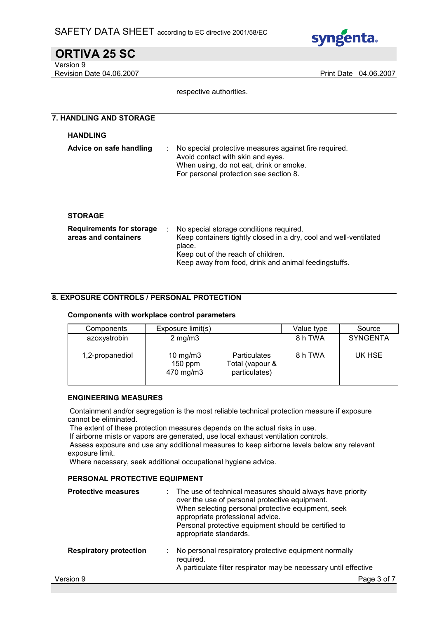

#### ORTIVA 25 SC Version 9

Revision Date 04.06.2007 **Print Date 04.06.2007** Print Date 04.06.2007

respective authorities.

# 7. HANDLING AND STORAGE **HANDLING** Advice on safe handling : No special protective measures against fire required. Avoid contact with skin and eyes. When using, do not eat, drink or smoke. For personal protection see section 8. **STORAGE** Requirements for storage areas and containers : No special storage conditions required. Keep containers tightly closed in a dry, cool and well-ventilated place. Keep out of the reach of children. Keep away from food, drink and animal feedingstuffs.

#### 8. EXPOSURE CONTROLS / PERSONAL PROTECTION

#### Components with workplace control parameters

| Components      | Exposure limit(s)                    |                                                         | Value type | Source          |
|-----------------|--------------------------------------|---------------------------------------------------------|------------|-----------------|
| azoxystrobin    | $2$ mg/m $3$                         |                                                         | 8 h TWA    | <b>SYNGENTA</b> |
| 1,2-propanediol | 10 $mg/m3$<br>$150$ ppm<br>470 mg/m3 | <b>Particulates</b><br>Total (vapour &<br>particulates) | 8 h TWA    | UK HSE          |

#### ENGINEERING MEASURES

 Containment and/or segregation is the most reliable technical protection measure if exposure cannot be eliminated.

The extent of these protection measures depends on the actual risks in use.

If airborne mists or vapors are generated, use local exhaust ventilation controls.

 Assess exposure and use any additional measures to keep airborne levels below any relevant exposure limit.

Where necessary, seek additional occupational hygiene advice.

#### PERSONAL PROTECTIVE EQUIPMENT

| <b>Protective measures</b>    | The use of technical measures should always have priority<br>over the use of personal protective equipment.<br>When selecting personal protective equipment, seek<br>appropriate professional advice.<br>Personal protective equipment should be certified to<br>appropriate standards. |
|-------------------------------|-----------------------------------------------------------------------------------------------------------------------------------------------------------------------------------------------------------------------------------------------------------------------------------------|
| <b>Respiratory protection</b> | No personal respiratory protective equipment normally<br>required.<br>A particulate filter respirator may be necessary until effective                                                                                                                                                  |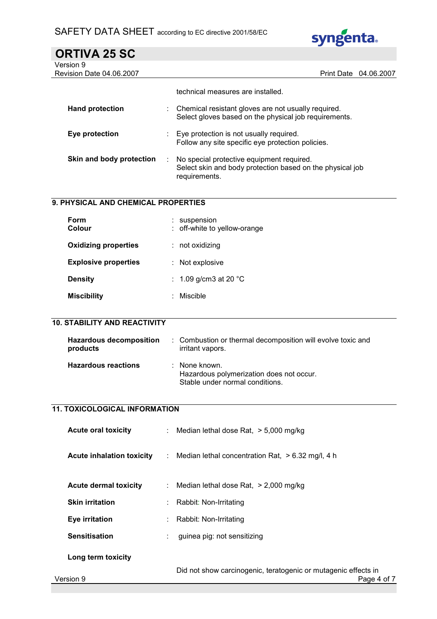

| <b>ORTIVA 25 SC</b>             |                                                     |                       |
|---------------------------------|-----------------------------------------------------|-----------------------|
| Version 9                       |                                                     |                       |
| <b>Revision Date 04.06.2007</b> |                                                     | Print Date 04.06.2007 |
|                                 | technical measures are installed.                   |                       |
| <b>Hand protection</b>          | Chemical resistant gloves are not usually required. |                       |

|                          | Select gloves based on the physical job requirements.                                                                   |
|--------------------------|-------------------------------------------------------------------------------------------------------------------------|
| Eye protection           | Eye protection is not usually required.<br>Follow any site specific eye protection policies.                            |
| Skin and body protection | No special protective equipment required.<br>Select skin and body protection based on the physical job<br>requirements. |

### 9. PHYSICAL AND CHEMICAL PROPERTIES

| Form<br>Colour              | : suspension<br>: off-white to yellow-orange |
|-----------------------------|----------------------------------------------|
| <b>Oxidizing properties</b> | $:$ not oxidizing                            |
| <b>Explosive properties</b> | $:$ Not explosive                            |
| <b>Density</b>              | : 1.09 g/cm3 at 20 $^{\circ}$ C              |
| <b>Miscibility</b>          | Miscible                                     |

#### 10. STABILITY AND REACTIVITY

| <b>Hazardous decomposition</b><br>products | : Combustion or thermal decomposition will evolve toxic and<br>irritant vapors.                         |
|--------------------------------------------|---------------------------------------------------------------------------------------------------------|
| <b>Hazardous reactions</b>                 | $\therefore$ None known.<br>Hazardous polymerization does not occur.<br>Stable under normal conditions. |

## 11. TOXICOLOGICAL INFORMATION

| <b>Acute oral toxicity</b>       | : Median lethal dose Rat, > 5,000 mg/kg                                       |
|----------------------------------|-------------------------------------------------------------------------------|
| <b>Acute inhalation toxicity</b> | : Median lethal concentration Rat, $> 6.32$ mg/l, 4 h                         |
| <b>Acute dermal toxicity</b>     | : Median lethal dose Rat, $> 2,000$ mg/kg                                     |
| <b>Skin irritation</b>           | Rabbit: Non-Irritating                                                        |
| Eye irritation                   | Rabbit: Non-Irritating                                                        |
| <b>Sensitisation</b>             | guinea pig: not sensitizing                                                   |
| Long term toxicity               |                                                                               |
| Version 9                        | Did not show carcinogenic, teratogenic or mutagenic effects in<br>Page 4 of 7 |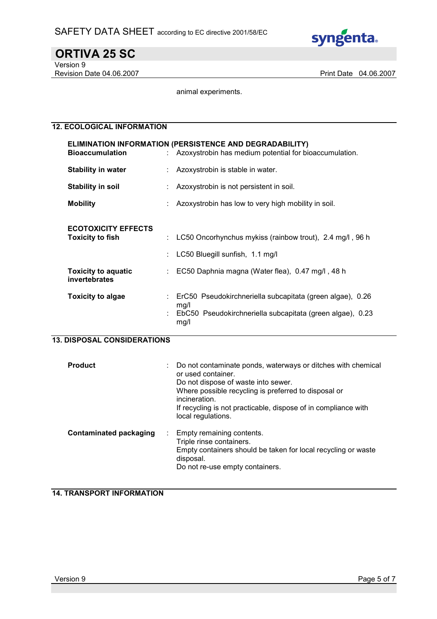

ORTIVA 25 SC Version 9

Revision Date 04.06.2007 **Print Date 04.06.2007** 

animal experiments.

#### 12. ECOLOGICAL INFORMATION

| <b>Bioaccumulation</b>                                                                               | ELIMINATION INFORMATION (PERSISTENCE AND DEGRADABILITY)<br>: Azoxystrobin has medium potential for bioaccumulation.                             |
|------------------------------------------------------------------------------------------------------|-------------------------------------------------------------------------------------------------------------------------------------------------|
| <b>Stability in water</b>                                                                            | Azoxystrobin is stable in water.                                                                                                                |
| <b>Stability in soil</b>                                                                             | Azoxystrobin is not persistent in soil.                                                                                                         |
| <b>Mobility</b>                                                                                      | Azoxystrobin has low to very high mobility in soil.                                                                                             |
| <b>ECOTOXICITY EFFECTS</b><br><b>Toxicity to fish</b><br><b>Toxicity to aquatic</b><br>invertebrates | LC50 Oncorhynchus mykiss (rainbow trout), 2.4 mg/l, 96 h<br>LC50 Bluegill sunfish, 1.1 mg/l<br>EC50 Daphnia magna (Water flea), 0.47 mg/l, 48 h |
| <b>Toxicity to algae</b>                                                                             | ErC50 Pseudokirchneriella subcapitata (green algae), 0.26<br>mg/l<br>EbC50 Pseudokirchneriella subcapitata (green algae), 0.23<br>mg/l          |

#### 13. DISPOSAL CONSIDERATIONS

| <b>Product</b>                      | Do not contaminate ponds, waterways or ditches with chemical<br>or used container.<br>Do not dispose of waste into sewer.<br>Where possible recycling is preferred to disposal or<br>incineration.<br>If recycling is not practicable, dispose of in compliance with<br>local regulations. |
|-------------------------------------|--------------------------------------------------------------------------------------------------------------------------------------------------------------------------------------------------------------------------------------------------------------------------------------------|
| <b>Contaminated packaging</b><br>÷. | Empty remaining contents.<br>Triple rinse containers.<br>Empty containers should be taken for local recycling or waste<br>disposal.<br>Do not re-use empty containers.                                                                                                                     |

#### 14. TRANSPORT INFORMATION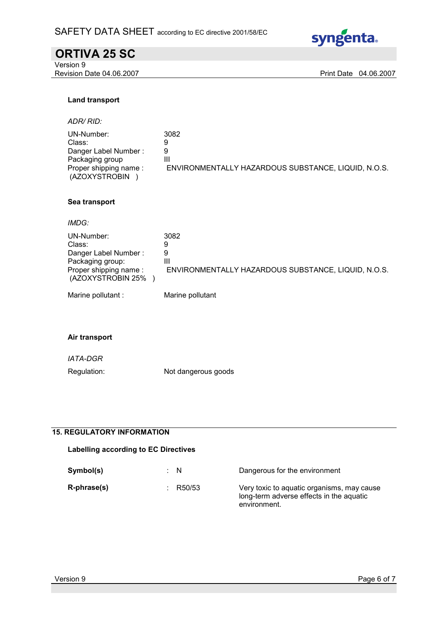

# ORTIVA 25 SC

Version 9 Revision Date 04.06.2007 **Print Date 04.06.2007** 

#### Land transport

ADR/ RID:

| UN-Number:            | 3082                                                |
|-----------------------|-----------------------------------------------------|
| Class:                |                                                     |
| Danger Label Number:  |                                                     |
| Packaging group       | Ш                                                   |
| Proper shipping name: | ENVIRONMENTALLY HAZARDOUS SUBSTANCE, LIQUID, N.O.S. |
| (AZOXYSTROBIN         |                                                     |

#### Sea transport

IMDG:

| UN-Number:<br>Class:<br>Danger Label Number:<br>Packaging group:<br>Proper shipping name:<br>(AZOXYSTROBIN 25% | 3082<br>9<br>9<br>Ш<br>ENVIRONMENTALLY HAZARDOUS SUBSTANCE, LIQUID, N.O.S. |
|----------------------------------------------------------------------------------------------------------------|----------------------------------------------------------------------------|
| Marine pollutant :                                                                                             | Marine pollutant                                                           |

#### Air transport

IATA-DGR

Regulation: Not dangerous goods

#### 15. REGULATORY INFORMATION

| Labelling according to EC Directives |        |                                                                                                        |
|--------------------------------------|--------|--------------------------------------------------------------------------------------------------------|
| Symbol(s)                            | : N    | Dangerous for the environment                                                                          |
| R-phrase(s)                          | R50/53 | Very toxic to aquatic organisms, may cause<br>long-term adverse effects in the aquatic<br>environment. |